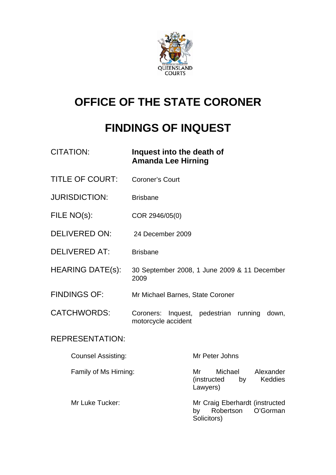

# **OFFICE OF THE STATE CORONER**

# **FINDINGS OF INQUEST**

| <b>CITATION:</b>          | Inquest into the death of<br><b>Amanda Lee Hirning</b> |                                                                               |
|---------------------------|--------------------------------------------------------|-------------------------------------------------------------------------------|
| <b>TITLE OF COURT:</b>    | <b>Coroner's Court</b>                                 |                                                                               |
| <b>JURISDICTION:</b>      | <b>Brisbane</b>                                        |                                                                               |
| FILE NO(s):               | COR 2946/05(0)                                         |                                                                               |
| <b>DELIVERED ON:</b>      | 24 December 2009                                       |                                                                               |
| <b>DELIVERED AT:</b>      | <b>Brisbane</b>                                        |                                                                               |
| <b>HEARING DATE(s):</b>   | 2009                                                   | 30 September 2008, 1 June 2009 & 11 December                                  |
| <b>FINDINGS OF:</b>       | Mr Michael Barnes, State Coroner                       |                                                                               |
| <b>CATCHWORDS:</b>        | motorcycle accident                                    | Coroners: Inquest, pedestrian running<br>down,                                |
| <b>REPRESENTATION:</b>    |                                                        |                                                                               |
| <b>Counsel Assisting:</b> |                                                        | Mr Peter Johns                                                                |
| Family of Ms Hirning:     |                                                        | Mr<br>Michael<br>Alexander<br>(instructed<br><b>Keddies</b><br>by<br>Lawyers) |
| Mr Luke Tucker:           |                                                        | Mr Craig Eberhardt (instructed<br>Robertson<br>O'Gorman<br>by<br>Solicitors)  |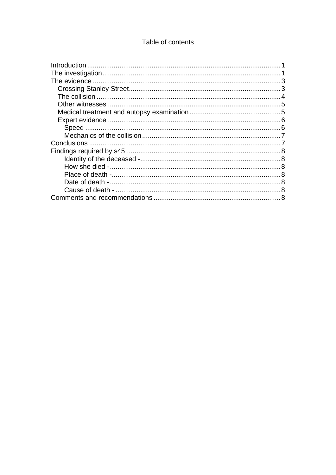### Table of contents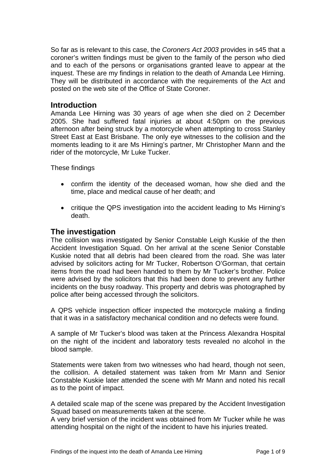<span id="page-2-0"></span>So far as is relevant to this case, the *Coroners Act 2003* provides in s45 that a coroner's written findings must be given to the family of the person who died and to each of the persons or organisations granted leave to appear at the inquest. These are my findings in relation to the death of Amanda Lee Hirning. They will be distributed in accordance with the requirements of the Act and posted on the web site of the Office of State Coroner.

#### **Introduction**

Amanda Lee Hirning was 30 years of age when she died on 2 December 2005. She had suffered fatal injuries at about 4:50pm on the previous afternoon after being struck by a motorcycle when attempting to cross Stanley Street East at East Brisbane. The only eye witnesses to the collision and the moments leading to it are Ms Hirning's partner, Mr Christopher Mann and the rider of the motorcycle, Mr Luke Tucker.

These findings

- confirm the identity of the deceased woman, how she died and the time, place and medical cause of her death; and
- critique the QPS investigation into the accident leading to Ms Hirning's death.

### **The investigation**

The collision was investigated by Senior Constable Leigh Kuskie of the then Accident Investigation Squad. On her arrival at the scene Senior Constable Kuskie noted that all debris had been cleared from the road. She was later advised by solicitors acting for Mr Tucker, Robertson O'Gorman, that certain items from the road had been handed to them by Mr Tucker's brother. Police were advised by the solicitors that this had been done to prevent any further incidents on the busy roadway. This property and debris was photographed by police after being accessed through the solicitors.

A QPS vehicle inspection officer inspected the motorcycle making a finding that it was in a satisfactory mechanical condition and no defects were found.

A sample of Mr Tucker's blood was taken at the Princess Alexandra Hospital on the night of the incident and laboratory tests revealed no alcohol in the blood sample.

Statements were taken from two witnesses who had heard, though not seen, the collision. A detailed statement was taken from Mr Mann and Senior Constable Kuskie later attended the scene with Mr Mann and noted his recall as to the point of impact.

A detailed scale map of the scene was prepared by the Accident Investigation Squad based on measurements taken at the scene.

A very brief version of the incident was obtained from Mr Tucker while he was attending hospital on the night of the incident to have his injuries treated.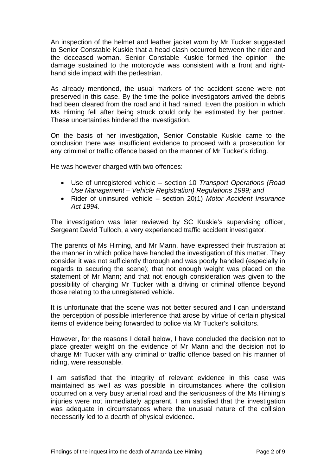An inspection of the helmet and leather jacket worn by Mr Tucker suggested to Senior Constable Kuskie that a head clash occurred between the rider and the deceased woman. Senior Constable Kuskie formed the opinion the damage sustained to the motorcycle was consistent with a front and righthand side impact with the pedestrian.

As already mentioned, the usual markers of the accident scene were not preserved in this case. By the time the police investigators arrived the debris had been cleared from the road and it had rained. Even the position in which Ms Hirning fell after being struck could only be estimated by her partner. These uncertainties hindered the investigation.

On the basis of her investigation, Senior Constable Kuskie came to the conclusion there was insufficient evidence to proceed with a prosecution for any criminal or traffic offence based on the manner of Mr Tucker's riding.

He was however charged with two offences:

- Use of unregistered vehicle section 10 *Transport Operations (Road Use Management – Vehicle Registration) Regulations 1999; and*
- Rider of uninsured vehicle section 20(1) *Motor Accident Insurance Act 1994.*

The investigation was later reviewed by SC Kuskie's supervising officer, Sergeant David Tulloch, a very experienced traffic accident investigator.

The parents of Ms Hirning, and Mr Mann, have expressed their frustration at the manner in which police have handled the investigation of this matter. They consider it was not sufficiently thorough and was poorly handled (especially in regards to securing the scene); that not enough weight was placed on the statement of Mr Mann; and that not enough consideration was given to the possibility of charging Mr Tucker with a driving or criminal offence beyond those relating to the unregistered vehicle.

It is unfortunate that the scene was not better secured and I can understand the perception of possible interference that arose by virtue of certain physical items of evidence being forwarded to police via Mr Tucker's solicitors.

However, for the reasons I detail below, I have concluded the decision not to place greater weight on the evidence of Mr Mann and the decision not to charge Mr Tucker with any criminal or traffic offence based on his manner of riding, were reasonable.

I am satisfied that the integrity of relevant evidence in this case was maintained as well as was possible in circumstances where the collision occurred on a very busy arterial road and the seriousness of the Ms Hirning's injuries were not immediately apparent. I am satisfied that the investigation was adequate in circumstances where the unusual nature of the collision necessarily led to a dearth of physical evidence.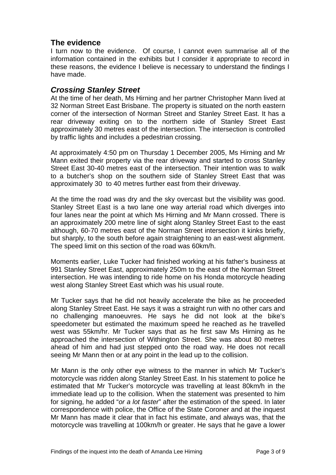# <span id="page-4-0"></span>**The evidence**

I turn now to the evidence. Of course, I cannot even summarise all of the information contained in the exhibits but I consider it appropriate to record in these reasons, the evidence I believe is necessary to understand the findings I have made.

### *Crossing Stanley Street*

At the time of her death, Ms Hirning and her partner Christopher Mann lived at 32 Norman Street East Brisbane. The property is situated on the north eastern corner of the intersection of Norman Street and Stanley Street East. It has a rear driveway exiting on to the northern side of Stanley Street East approximately 30 metres east of the intersection. The intersection is controlled by traffic lights and includes a pedestrian crossing.

At approximately 4:50 pm on Thursday 1 December 2005, Ms Hirning and Mr Mann exited their property via the rear driveway and started to cross Stanley Street East 30-40 metres east of the intersection. Their intention was to walk to a butcher's shop on the southern side of Stanley Street East that was approximately 30 to 40 metres further east from their driveway.

At the time the road was dry and the sky overcast but the visibility was good. Stanley Street East is a two lane one way arterial road which diverges into four lanes near the point at which Ms Hirning and Mr Mann crossed. There is an approximately 200 metre line of sight along Stanley Street East to the east although, 60-70 metres east of the Norman Street intersection it kinks briefly, but sharply, to the south before again straightening to an east-west alignment. The speed limit on this section of the road was 60km/h.

Moments earlier, Luke Tucker had finished working at his father's business at 991 Stanley Street East, approximately 250m to the east of the Norman Street intersection. He was intending to ride home on his Honda motorcycle heading west along Stanley Street East which was his usual route.

Mr Tucker says that he did not heavily accelerate the bike as he proceeded along Stanley Street East. He says it was a straight run with no other cars and no challenging manoeuvres. He says he did not look at the bike's speedometer but estimated the maximum speed he reached as he travelled west was 55km/hr. Mr Tucker says that as he first saw Ms Hirning as he approached the intersection of Withington Street. She was about 80 metres ahead of him and had just stepped onto the road way. He does not recall seeing Mr Mann then or at any point in the lead up to the collision.

Mr Mann is the only other eye witness to the manner in which Mr Tucker's motorcycle was ridden along Stanley Street East. In his statement to police he estimated that Mr Tucker's motorcycle was travelling at least 80km/h in the immediate lead up to the collision. When the statement was presented to him for signing, he added "*or a lot faster*" after the estimation of the speed. In later correspondence with police, the Office of the State Coroner and at the inquest Mr Mann has made it clear that in fact his estimate, and always was, that the motorcycle was travelling at 100km/h or greater. He says that he gave a lower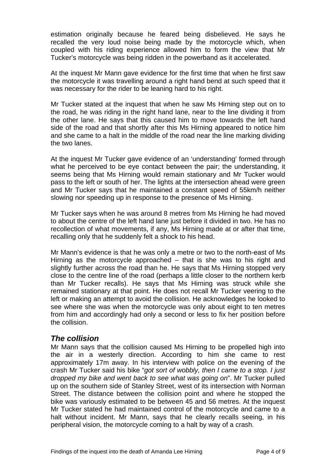<span id="page-5-0"></span>estimation originally because he feared being disbelieved. He says he recalled the very loud noise being made by the motorcycle which, when coupled with his riding experience allowed him to form the view that Mr Tucker's motorcycle was being ridden in the powerband as it accelerated.

At the inquest Mr Mann gave evidence for the first time that when he first saw the motorcycle it was travelling around a right hand bend at such speed that it was necessary for the rider to be leaning hard to his right.

Mr Tucker stated at the inquest that when he saw Ms Hirning step out on to the road, he was riding in the right hand lane, near to the line dividing it from the other lane. He says that this caused him to move towards the left hand side of the road and that shortly after this Ms Hirning appeared to notice him and she came to a halt in the middle of the road near the line marking dividing the two lanes.

At the inquest Mr Tucker gave evidence of an 'understanding' formed through what he perceived to be eye contact between the pair; the understanding, it seems being that Ms Hirning would remain stationary and Mr Tucker would pass to the left or south of her. The lights at the intersection ahead were green and Mr Tucker says that he maintained a constant speed of 55km/h neither slowing nor speeding up in response to the presence of Ms Hirning.

Mr Tucker says when he was around 8 metres from Ms Hirning he had moved to about the centre of the left hand lane just before it divided in two. He has no recollection of what movements, if any, Ms Hirning made at or after that time, recalling only that he suddenly felt a shock to his head.

Mr Mann's evidence is that he was only a metre or two to the north-east of Ms Hirning as the motorcycle approached  $-$  that is she was to his right and slightly further across the road than he. He says that Ms Hirning stopped very close to the centre line of the road (perhaps a little closer to the northern kerb than Mr Tucker recalls). He says that Ms Hirning was struck while she remained stationary at that point. He does not recall Mr Tucker veering to the left or making an attempt to avoid the collision. He acknowledges he looked to see where she was when the motorcycle was only about eight to ten metres from him and accordingly had only a second or less to fix her position before the collision.

# *The collision*

Mr Mann says that the collision caused Ms Hirning to be propelled high into the air in a westerly direction. According to him she came to rest approximately 17m away. In his interview with police on the evening of the crash Mr Tucker said his bike "*got sort of wobbly, then I came to a stop. I just dropped my bike and went back to see what was going on*". Mr Tucker pulled up on the southern side of Stanley Street, west of its intersection with Norman Street. The distance between the collision point and where he stopped the bike was variously estimated to be between 45 and 56 metres. At the inquest Mr Tucker stated he had maintained control of the motorcycle and came to a halt without incident. Mr Mann, says that he clearly recalls seeing, in his peripheral vision, the motorcycle coming to a halt by way of a crash.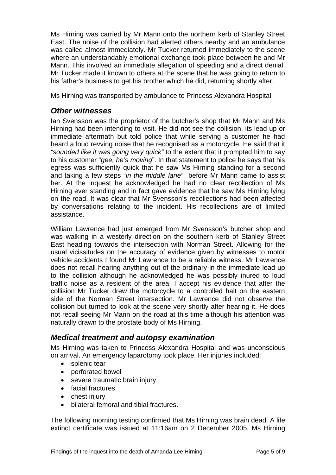<span id="page-6-0"></span>Ms Hirning was carried by Mr Mann onto the northern kerb of Stanley Street East. The noise of the collision had alerted others nearby and an ambulance was called almost immediately. Mr Tucker returned immediately to the scene where an understandably emotional exchange took place between he and Mr Mann. This involved an immediate allegation of speeding and a direct denial. Mr Tucker made it known to others at the scene that he was going to return to his father's business to get his brother which he did, returning shortly after.

Ms Hirning was transported by ambulance to Princess Alexandra Hospital.

### *Other witnesses*

Ian Svensson was the proprietor of the butcher's shop that Mr Mann and Ms Hirning had been intending to visit. He did not see the collision, its lead up or immediate aftermath but told police that while serving a customer he had heard a loud revving noise that he recognised as a motorcycle. He said that it *"sounded like it was going very quick"* to the extent that it prompted him to say to his customer "*gee, he's moving*". In that statement to police he says that his egress was sufficiently quick that he saw Ms Hirning standing for a second and taking a few steps "*in the middle lane"* before Mr Mann came to assist her. At the inquest he acknowledged he had no clear recollection of Ms Hirning ever standing and in fact gave evidence that he saw Ms Hirning lying on the road. It was clear that Mr Svensson's recollections had been affected by conversations relating to the incident. His recollections are of limited assistance.

William Lawrence had just emerged from Mr Svensson's butcher shop and was walking in a westerly direction on the southern kerb of Stanley Street East heading towards the intersection with Norman Street. Allowing for the usual vicissitudes on the accuracy of evidence given by witnesses to motor vehicle accidents I found Mr Lawrence to be a reliable witness. Mr Lawrence does not recall hearing anything out of the ordinary in the immediate lead up to the collision although he acknowledged he was possibly inured to loud traffic noise as a resident of the area. I accept his evidence that after the collision Mr Tucker drew the motorcycle to a controlled halt on the eastern side of the Norman Street intersection. Mr Lawrence did not observe the collision but turned to look at the scene very shortly after hearing it. He does not recall seeing Mr Mann on the road at this time although his attention was naturally drawn to the prostate body of Ms Hirning.

# *Medical treatment and autopsy examination*

Ms Hirning was taken to Princess Alexandra Hospital and was unconscious on arrival. An emergency laparotomy took place. Her injuries included:

- splenic tear
- perforated bowel
- severe traumatic brain injury
- facial fractures
- chest injury
- bilateral femoral and tibial fractures.

The following morning testing confirmed that Ms Hirning was brain dead. A life extinct certificate was issued at 11:16am on 2 December 2005. Ms Hirning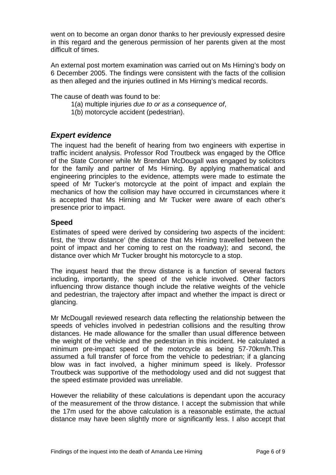<span id="page-7-0"></span>went on to become an organ donor thanks to her previously expressed desire in this regard and the generous permission of her parents given at the most difficult of times.

An external post mortem examination was carried out on Ms Hirning's body on 6 December 2005. The findings were consistent with the facts of the collision as then alleged and the injuries outlined in Ms Hirning's medical records.

The cause of death was found to be:

- 1(a) multiple injuries *due to or as a consequence of*,
- 1(b) motorcycle accident (pedestrian).

# *Expert evidence*

The inquest had the benefit of hearing from two engineers with expertise in traffic incident analysis. Professor Rod Troutbeck was engaged by the Office of the State Coroner while Mr Brendan McDougall was engaged by solicitors for the family and partner of Ms Hirning. By applying mathematical and engineering principles to the evidence, attempts were made to estimate the speed of Mr Tucker's motorcycle at the point of impact and explain the mechanics of how the collision may have occurred in circumstances where it is accepted that Ms Hirning and Mr Tucker were aware of each other's presence prior to impact.

#### **Speed**

Estimates of speed were derived by considering two aspects of the incident: first, the 'throw distance' (the distance that Ms Hirning travelled between the point of impact and her coming to rest on the roadway); and second, the distance over which Mr Tucker brought his motorcycle to a stop.

The inquest heard that the throw distance is a function of several factors including, importantly, the speed of the vehicle involved. Other factors influencing throw distance though include the relative weights of the vehicle and pedestrian, the trajectory after impact and whether the impact is direct or glancing.

Mr McDougall reviewed research data reflecting the relationship between the speeds of vehicles involved in pedestrian collisions and the resulting throw distances. He made allowance for the smaller than usual difference between the weight of the vehicle and the pedestrian in this incident. He calculated a minimum pre-impact speed of the motorcycle as being 57-70km/h.This assumed a full transfer of force from the vehicle to pedestrian; if a glancing blow was in fact involved, a higher minimum speed is likely. Professor Troutbeck was supportive of the methodology used and did not suggest that the speed estimate provided was unreliable.

However the reliability of these calculations is dependant upon the accuracy of the measurement of the throw distance. I accept the submission that while the 17m used for the above calculation is a reasonable estimate, the actual distance may have been slightly more or significantly less. I also accept that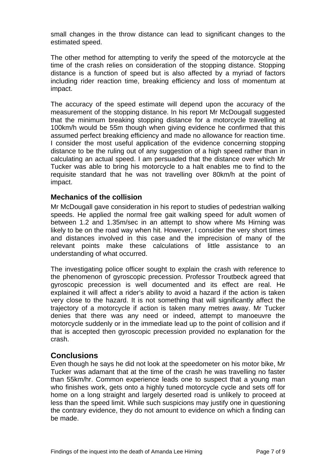<span id="page-8-0"></span>small changes in the throw distance can lead to significant changes to the estimated speed.

The other method for attempting to verify the speed of the motorcycle at the time of the crash relies on consideration of the stopping distance. Stopping distance is a function of speed but is also affected by a myriad of factors including rider reaction time, breaking efficiency and loss of momentum at impact.

The accuracy of the speed estimate will depend upon the accuracy of the measurement of the stopping distance. In his report Mr McDougall suggested that the minimum breaking stopping distance for a motorcycle travelling at 100km/h would be 55m though when giving evidence he confirmed that this assumed perfect breaking efficiency and made no allowance for reaction time. I consider the most useful application of the evidence concerning stopping distance to be the ruling out of any suggestion of a high speed rather than in calculating an actual speed. I am persuaded that the distance over which Mr Tucker was able to bring his motorcycle to a halt enables me to find to the requisite standard that he was not travelling over 80km/h at the point of impact.

#### **Mechanics of the collision**

Mr McDougall gave consideration in his report to studies of pedestrian walking speeds. He applied the normal free gait walking speed for adult women of between 1.2 and 1.35m/sec in an attempt to show where Ms Hirning was likely to be on the road way when hit. However, I consider the very short times and distances involved in this case and the imprecision of many of the relevant points make these calculations of little assistance to an understanding of what occurred.

The investigating police officer sought to explain the crash with reference to the phenomenon of gyroscopic precession. Professor Troutbeck agreed that gyroscopic precession is well documented and its effect are real. He explained it will affect a rider's ability to avoid a hazard if the action is taken very close to the hazard. It is not something that will significantly affect the trajectory of a motorcycle if action is taken many metres away. Mr Tucker denies that there was any need or indeed, attempt to manoeuvre the motorcycle suddenly or in the immediate lead up to the point of collision and if that is accepted then gyroscopic precession provided no explanation for the crash.

#### **Conclusions**

Even though he says he did not look at the speedometer on his motor bike, Mr Tucker was adamant that at the time of the crash he was travelling no faster than 55km/hr. Common experience leads one to suspect that a young man who finishes work, gets onto a highly tuned motorcycle cycle and sets off for home on a long straight and largely deserted road is unlikely to proceed at less than the speed limit. While such suspicions may justify one in questioning the contrary evidence, they do not amount to evidence on which a finding can be made.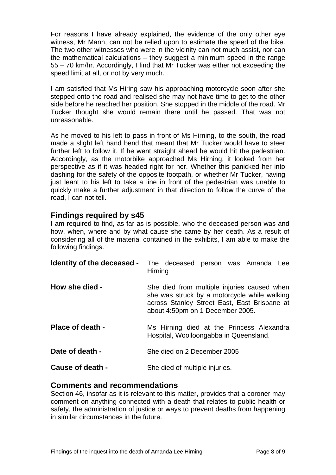<span id="page-9-0"></span>For reasons I have already explained, the evidence of the only other eye witness, Mr Mann, can not be relied upon to estimate the speed of the bike. The two other witnesses who were in the vicinity can not much assist, nor can the mathematical calculations – they suggest a minimum speed in the range 55 – 70 km/hr. Accordingly, I find that Mr Tucker was either not exceeding the speed limit at all, or not by very much.

I am satisfied that Ms Hiring saw his approaching motorcycle soon after she stepped onto the road and realised she may not have time to get to the other side before he reached her position. She stopped in the middle of the road. Mr Tucker thought she would remain there until he passed. That was not unreasonable.

As he moved to his left to pass in front of Ms Hirning, to the south, the road made a slight left hand bend that meant that Mr Tucker would have to steer further left to follow it. If he went straight ahead he would hit the pedestrian. Accordingly, as the motorbike approached Ms Hirning, it looked from her perspective as if it was headed right for her. Whether this panicked her into dashing for the safety of the opposite footpath, or whether Mr Tucker, having just leant to his left to take a line in front of the pedestrian was unable to quickly make a further adjustment in that direction to follow the curve of the road, I can not tell.

# **Findings required by s45**

I am required to find, as far as is possible, who the deceased person was and how, when, where and by what cause she came by her death. As a result of considering all of the material contained in the exhibits, I am able to make the following findings.

| Identity of the deceased - | The deceased person was Amanda Lee<br>Hirning                                                                                                                                   |
|----------------------------|---------------------------------------------------------------------------------------------------------------------------------------------------------------------------------|
| How she died -             | She died from multiple injuries caused when<br>she was struck by a motorcycle while walking<br>across Stanley Street East, East Brisbane at<br>about 4:50pm on 1 December 2005. |
| Place of death -           | Ms Hirning died at the Princess Alexandra<br>Hospital, Woolloongabba in Queensland.                                                                                             |
| Date of death -            | She died on 2 December 2005                                                                                                                                                     |
| Cause of death -           | She died of multiple injuries.                                                                                                                                                  |

#### **Comments and recommendations**

Section 46, insofar as it is relevant to this matter, provides that a coroner may comment on anything connected with a death that relates to public health or safety, the administration of justice or ways to prevent deaths from happening in similar circumstances in the future.